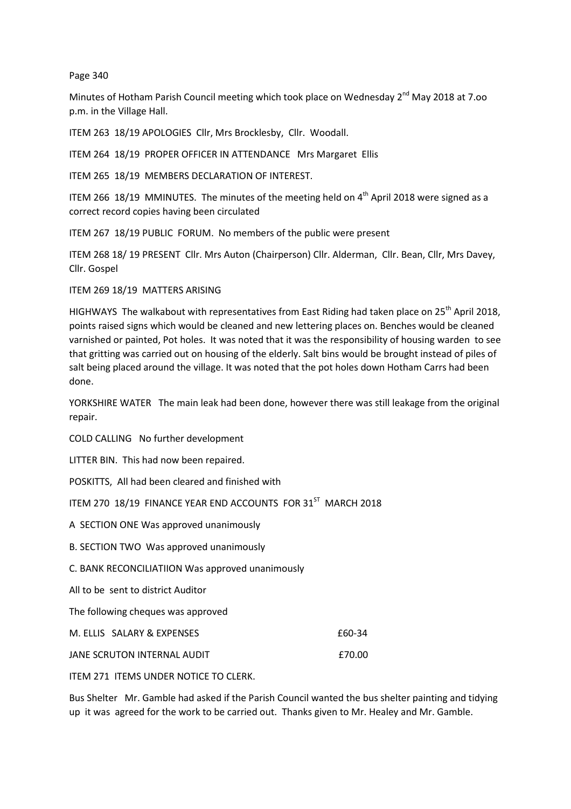## Page 340

Minutes of Hotham Parish Council meeting which took place on Wednesday 2<sup>nd</sup> May 2018 at 7.00 p.m. in the Village Hall.

ITEM 263 18/19 APOLOGIES Cllr, Mrs Brocklesby, Cllr. Woodall.

ITEM 264 18/19 PROPER OFFICER IN ATTENDANCE Mrs Margaret Ellis

ITEM 265 18/19 MEMBERS DECLARATION OF INTEREST.

ITEM 266 18/19 MMINUTES. The minutes of the meeting held on  $4<sup>th</sup>$  April 2018 were signed as a correct record copies having been circulated

ITEM 267 18/19 PUBLIC FORUM. No members of the public were present

ITEM 268 18/ 19 PRESENT Cllr. Mrs Auton (Chairperson) Cllr. Alderman, Cllr. Bean, Cllr, Mrs Davey, Cllr. Gospel

ITEM 269 18/19 MATTERS ARISING

HIGHWAYS The walkabout with representatives from East Riding had taken place on 25<sup>th</sup> April 2018, points raised signs which would be cleaned and new lettering places on. Benches would be cleaned varnished or painted, Pot holes. It was noted that it was the responsibility of housing warden to see that gritting was carried out on housing of the elderly. Salt bins would be brought instead of piles of salt being placed around the village. It was noted that the pot holes down Hotham Carrs had been done.

YORKSHIRE WATER The main leak had been done, however there was still leakage from the original repair.

COLD CALLING No further development

LITTER BIN. This had now been repaired.

POSKITTS, All had been cleared and finished with

ITEM 270 18/19 FINANCE YEAR END ACCOUNTS FOR 31<sup>ST</sup> MARCH 2018

A SECTION ONE Was approved unanimously

B. SECTION TWO Was approved unanimously

C. BANK RECONCILIATIION Was approved unanimously

All to be sent to district Auditor

The following cheques was approved

| M. ELLIS SALARY & EXPENSES  | £60-34 F |
|-----------------------------|----------|
| JANE SCRUTON INTERNAL AUDIT | £70.00   |

ITEM 271 ITEMS UNDER NOTICE TO CLERK.

Bus Shelter Mr. Gamble had asked if the Parish Council wanted the bus shelter painting and tidying up it was agreed for the work to be carried out. Thanks given to Mr. Healey and Mr. Gamble.